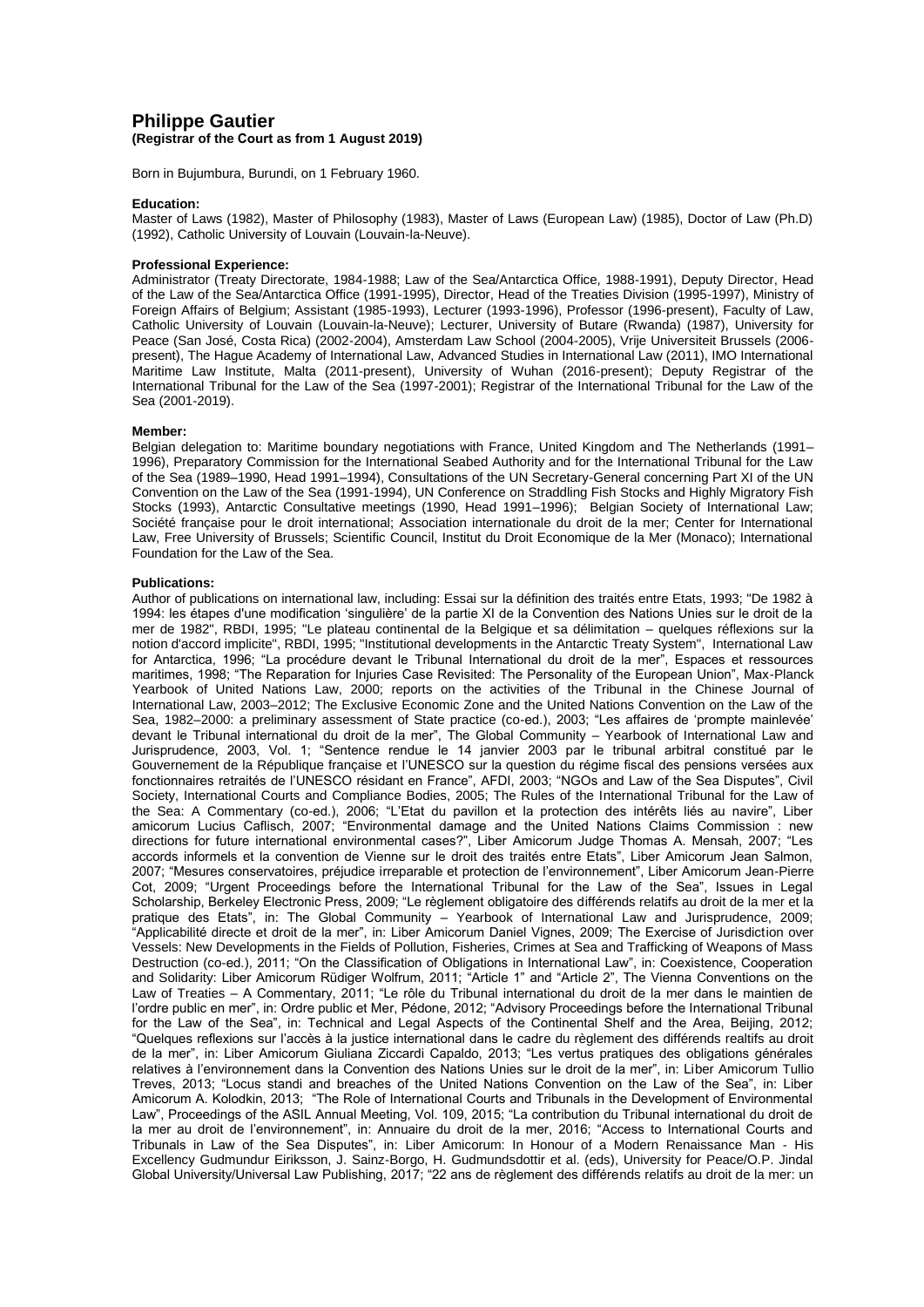# **Philippe Gautier (Registrar of the Court as from 1 August 2019)**

Born in Bujumbura, Burundi, on 1 February 1960.

#### **Education:**

Master of Laws (1982), Master of Philosophy (1983), Master of Laws (European Law) (1985), Doctor of Law (Ph.D) (1992), Catholic University of Louvain (Louvain-la-Neuve).

# **Professional Experience:**

Administrator (Treaty Directorate, 1984-1988; Law of the Sea/Antarctica Office, 1988-1991), Deputy Director, Head of the Law of the Sea/Antarctica Office (1991-1995), Director, Head of the Treaties Division (1995-1997), Ministry of Foreign Affairs of Belgium; Assistant (1985-1993), Lecturer (1993-1996), Professor (1996-present), Faculty of Law, Catholic University of Louvain (Louvain-la-Neuve); Lecturer, University of Butare (Rwanda) (1987), University for Peace (San José, Costa Rica) (2002-2004), Amsterdam Law School (2004-2005), Vrije Universiteit Brussels (2006 present), The Hague Academy of International Law, Advanced Studies in International Law (2011), IMO International Maritime Law Institute, Malta (2011-present), University of Wuhan (2016-present); Deputy Registrar of the International Tribunal for the Law of the Sea (1997-2001); Registrar of the International Tribunal for the Law of the Sea (2001-2019).

## **Member:**

Belgian delegation to: Maritime boundary negotiations with France, United Kingdom and The Netherlands (1991– 1996), Preparatory Commission for the International Seabed Authority and for the International Tribunal for the Law of the Sea (1989–1990, Head 1991–1994), Consultations of the UN Secretary-General concerning Part XI of the UN Convention on the Law of the Sea (1991-1994), UN Conference on Straddling Fish Stocks and Highly Migratory Fish Stocks (1993), Antarctic Consultative meetings (1990, Head 1991–1996); Belgian Society of International Law; Société française pour le droit international; Association internationale du droit de la mer; Center for International Law, Free University of Brussels; Scientific Council, Institut du Droit Economique de la Mer (Monaco); International Foundation for the Law of the Sea.

## **Publications:**

Author of publications on international law, including: Essai sur la définition des traités entre Etats, 1993; "De 1982 à 1994: les étapes d'une modification 'singulière' de la partie XI de la Convention des Nations Unies sur le droit de la mer de 1982", RBDI, 1995; "Le plateau continental de la Belgique et sa délimitation – quelques réflexions sur la notion d'accord implicite", RBDI, 1995; "Institutional developments in the Antarctic Treaty System", International Law for Antarctica, 1996; "La procédure devant le Tribunal International du droit de la mer", Espaces et ressources maritimes, 1998; "The Reparation for Injuries Case Revisited: The Personality of the European Union", Max-Planck Yearbook of United Nations Law, 2000; reports on the activities of the Tribunal in the Chinese Journal of International Law, 2003–2012; The Exclusive Economic Zone and the United Nations Convention on the Law of the Sea, 1982–2000: a preliminary assessment of State practice (co-ed.), 2003; "Les affaires de 'prompte mainlevée' devant le Tribunal international du droit de la mer", The Global Community – Yearbook of International Law and Jurisprudence, 2003, Vol. 1; "Sentence rendue le 14 janvier 2003 par le tribunal arbitral constitué par le Gouvernement de la République française et l'UNESCO sur la question du régime fiscal des pensions versées aux fonctionnaires retraités de l'UNESCO résidant en France", AFDI, 2003; "NGOs and Law of the Sea Disputes", Civil Society, International Courts and Compliance Bodies, 2005; The Rules of the International Tribunal for the Law of the Sea: A Commentary (co-ed.), 2006; "L'Etat du pavillon et la protection des intérêts liés au navire", Liber amicorum Lucius Caflisch, 2007; "Environmental damage and the United Nations Claims Commission : new directions for future international environmental cases?", Liber Amicorum Judge Thomas A. Mensah, 2007; "Les accords informels et la convention de Vienne sur le droit des traités entre Etats", Liber Amicorum Jean Salmon, 2007; "Mesures conservatoires, préjudice irreparable et protection de l'environnement", Liber Amicorum Jean-Pierre Cot, 2009; "Urgent Proceedings before the International Tribunal for the Law of the Sea", Issues in Legal Scholarship, Berkeley Electronic Press, 2009; "Le règlement obligatoire des différends relatifs au droit de la mer et la pratique des Etats", in: The Global Community – Yearbook of International Law and Jurisprudence, 2009; "Applicabilité directe et droit de la mer", in: Liber Amicorum Daniel Vignes, 2009; The Exercise of Jurisdiction over Vessels: New Developments in the Fields of Pollution, Fisheries, Crimes at Sea and Trafficking of Weapons of Mass Destruction (co-ed.), 2011; "On the Classification of Obligations in International Law", in: Coexistence, Cooperation and Solidarity: Liber Amicorum Rüdiger Wolfrum, 2011; "Article 1" and "Article 2", The Vienna Conventions on the Law of Treaties – A Commentary, 2011; "Le rôle du Tribunal international du droit de la mer dans le maintien de l'ordre public en mer", in: Ordre public et Mer, Pédone, 2012; "Advisory Proceedings before the International Tribunal for the Law of the Sea", in: Technical and Legal Aspects of the Continental Shelf and the Area, Beijing, 2012; "Quelques reflexions sur l'accès à la justice international dans le cadre du règlement des différends realtifs au droit de la mer", in: Liber Amicorum Giuliana Ziccardi Capaldo, 2013; "Les vertus pratiques des obligations générales relatives à l'environnement dans la Convention des Nations Unies sur le droit de la mer", in: Liber Amicorum Tullio Treves, 2013; "Locus standi and breaches of the United Nations Convention on the Law of the Sea", in: Liber Amicorum A. Kolodkin, 2013; "The Role of International Courts and Tribunals in the Development of Environmental Law", Proceedings of the ASIL Annual Meeting, Vol. 109, 2015; "La contribution du Tribunal international du droit de la mer au droit de l'environnement", in: Annuaire du droit de la mer, 2016; "Access to International Courts and Tribunals in Law of the Sea Disputes", in: Liber Amicorum: In Honour of a Modern Renaissance Man - His Excellency Gudmundur Eiriksson, J. Sainz-Borgo, H. Gudmundsdottir et al. (eds), University for Peace/O.P. Jindal Global University/Universal Law Publishing, 2017; "22 ans de règlement des différends relatifs au droit de la mer: un